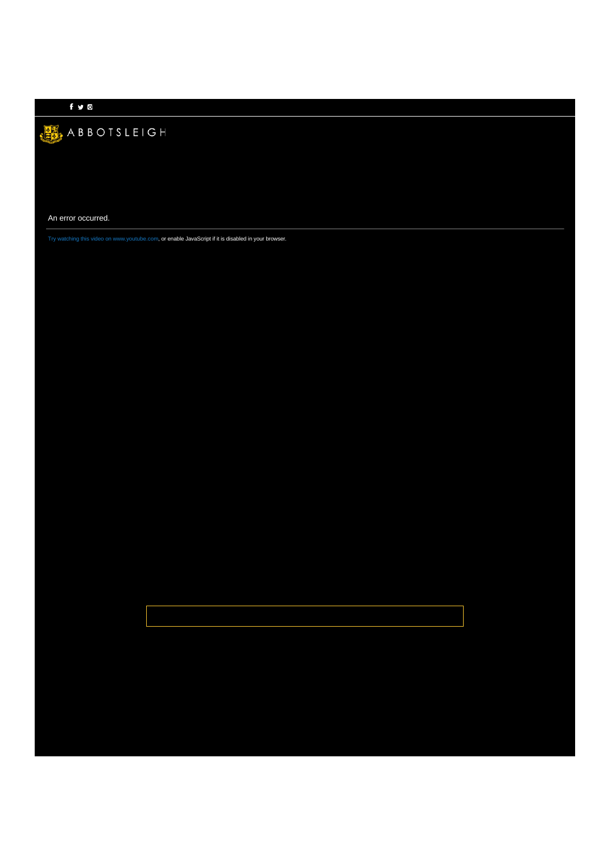## For  $\sim$  10  $\sigma$

## ABBOTSLEIGH

An error occurred.

Try watching this video on www.youtube.com, or enable JavaScript if it is disabled in your browser.

[Strategic Plan](https://www.abbotsleigh.nsw.edu.au/ArticleDocuments/408/Strategic%20Plan%202017.pdf.aspx)